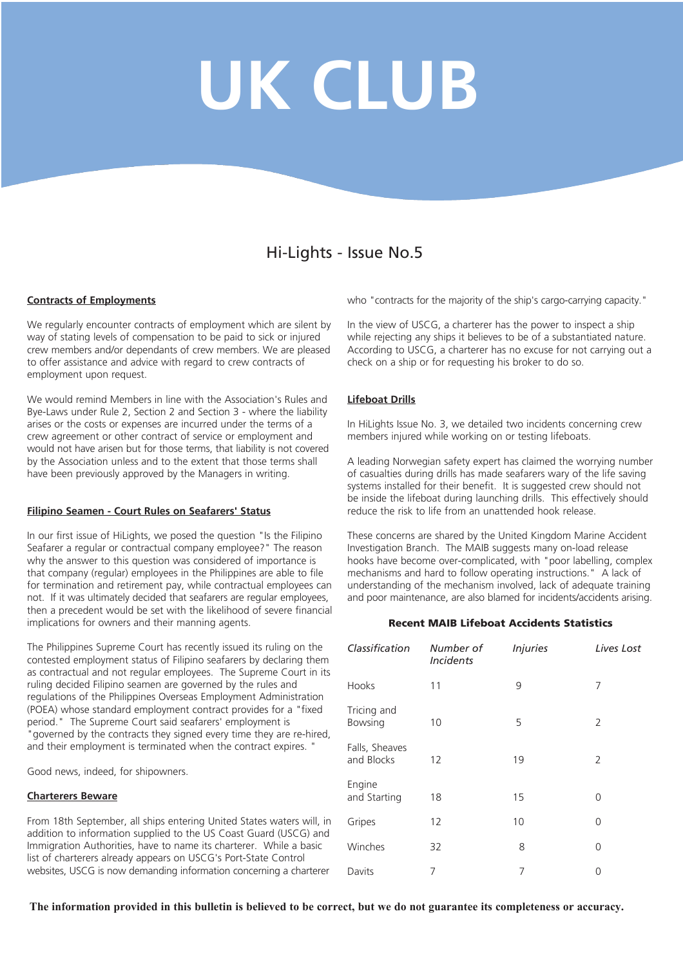# **UK CLUB**

# Hi-Lights - Issue No.5

#### **Contracts of Employments**

We regularly encounter contracts of employment which are silent by way of stating levels of compensation to be paid to sick or injured crew members and/or dependants of crew members. We are pleased to offer assistance and advice with regard to crew contracts of employment upon request.

We would remind Members in line with the Association's Rules and Bye-Laws under Rule 2, Section 2 and Section 3 - where the liability arises or the costs or expenses are incurred under the terms of a crew agreement or other contract of service or employment and would not have arisen but for those terms, that liability is not covered by the Association unless and to the extent that those terms shall have been previously approved by the Managers in writing.

#### **Filipino Seamen - Court Rules on Seafarers' Status**

In our first issue of HiLights, we posed the question "Is the Filipino Seafarer a regular or contractual company employee?" The reason why the answer to this question was considered of importance is that company (regular) employees in the Philippines are able to file for termination and retirement pay, while contractual employees can not. If it was ultimately decided that seafarers are regular employees, then a precedent would be set with the likelihood of severe financial implications for owners and their manning agents.

The Philippines Supreme Court has recently issued its ruling on the contested employment status of Filipino seafarers by declaring them as contractual and not regular employees. The Supreme Court in its ruling decided Filipino seamen are governed by the rules and regulations of the Philippines Overseas Employment Administration (POEA) whose standard employment contract provides for a "fixed period." The Supreme Court said seafarers' employment is "governed by the contracts they signed every time they are re-hired, and their employment is terminated when the contract expires. "

Good news, indeed, for shipowners.

#### **Charterers Beware**

From 18th September, all ships entering United States waters will, in addition to information supplied to the US Coast Guard (USCG) and Immigration Authorities, have to name its charterer. While a basic list of charterers already appears on USCG's Port-State Control websites, USCG is now demanding information concerning a charterer

who "contracts for the majority of the ship's cargo-carrying capacity."

In the view of USCG, a charterer has the power to inspect a ship while rejecting any ships it believes to be of a substantiated nature. According to USCG, a charterer has no excuse for not carrying out a check on a ship or for requesting his broker to do so.

#### **Lifeboat Drills**

In HiLights Issue No. 3, we detailed two incidents concerning crew members injured while working on or testing lifeboats.

A leading Norwegian safety expert has claimed the worrying number of casualties during drills has made seafarers wary of the life saving systems installed for their benefit. It is suggested crew should not be inside the lifeboat during launching drills. This effectively should reduce the risk to life from an unattended hook release.

These concerns are shared by the United Kingdom Marine Accident Investigation Branch. The MAIB suggests many on-load release hooks have become over-complicated, with "poor labelling, complex mechanisms and hard to follow operating instructions." A lack of understanding of the mechanism involved, lack of adequate training and poor maintenance, are also blamed for incidents/accidents arising.

#### **Recent MAIB Lifeboat Accidents Statistics**

| Classification               | Number of<br><b>Incidents</b> | <b>Injuries</b> | Lives Lost |
|------------------------------|-------------------------------|-----------------|------------|
| Hooks                        | 11                            | 9               | 7          |
| Tricing and<br>Bowsing       | 10                            | 5               | 2          |
| Falls, Sheaves<br>and Blocks | 12                            | 19              | 2          |
| Engine<br>and Starting       | 18                            | 15              | 0          |
| Gripes                       | 12                            | 10              | 0          |
| Winches                      | 32                            | 8               | 0          |
| Davits                       | 7                             | 7               | Ω          |

**The information provided in this bulletin is believed to be correct, but we do not guarantee its completeness or accuracy.**